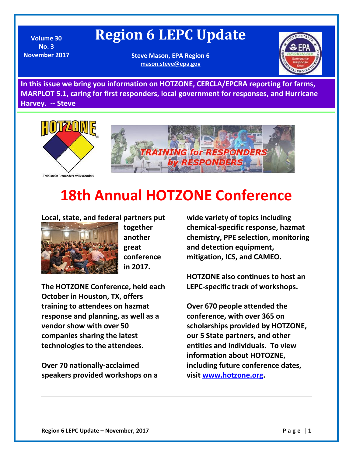## **Region 6 LEPC Update**

**Volume 30 No. 3 November 2017**

**Steve Mason, EPA Region 6 [mason.steve@epa.gov](mailto:mason.steve@epa.gov)**



**In this issue we bring you information on HOTZONE, CERCLA/EPCRA reporting for farms, MARPLOT 5.1, caring for first responders, local government for responses, and Hurricane Harvey. -- Steve** 



## **18th Annual HOTZONE Conference**

#### **Local, state, and federal partners put**



**together another great conference in 2017.** 

**The HOTZONE Conference, held each October in Houston, TX, offers training to attendees on hazmat response and planning, as well as a vendor show with over 50 companies sharing the latest technologies to the attendees.** 

**Over 70 nationally-acclaimed speakers provided workshops on a**  **wide variety of topics including chemical-specific response, hazmat chemistry, PPE selection, monitoring and detection equipment, mitigation, ICS, and CAMEO.** 

**HOTZONE also continues to host an LEPC-specific track of workshops.** 

**Over 670 people attended the conference, with over 365 on scholarships provided by HOTZONE, our 5 State partners, and other entities and individuals. To view information about HOTOZNE, including future conference dates, visit [www.hotzone.org.](http://www.hotzone.org/)**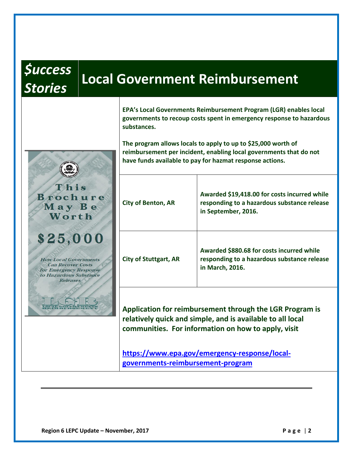# *\$uccess*

This Brochure May Be Worth

\$25,000

**How Local Governments Can Recover Costs for Emergency Response** to Hazardous Substance **Releases** 

## *Stories* **Local Government Reimbursement**

**EPA's Local Governments Reimbursement Program (LGR) enables local governments to recoup costs spent in emergency response to hazardous substances.** 

**The program allows locals to apply to up to \$25,000 worth of reimbursement per incident, enabling local governments that do not have funds available to pay for hazmat response actions.**

| <b>City of Benton, AR</b>    | Awarded \$19,418.00 for costs incurred while<br>responding to a hazardous substance release<br>in September, 2016. |
|------------------------------|--------------------------------------------------------------------------------------------------------------------|
| <b>City of Stuttgart, AR</b> | Awarded \$880.68 for costs incurred while<br>responding to a hazardous substance release<br>in March, 2016.        |

**Application for reimbursement through the LGR Program is relatively quick and simple, and is available to all local communities. For information on how to apply, visit**

**[https://www.epa.gov/emergency-response/local](https://www.epa.gov/emergency-response/local-governments-reimbursement-program)[governments-reimbursement-program](https://www.epa.gov/emergency-response/local-governments-reimbursement-program)**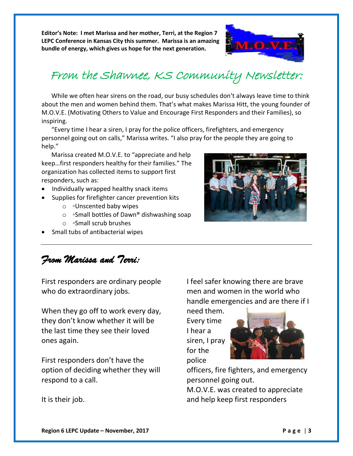**Editor's Note: I met Marissa and her mother, Terri, at the Region 7 LEPC Conference in Kansas City this summer. Marissa is an amazing bundle of energy, which gives us hope for the next generation.**



## From the Shawnee, KS Community Newsletter:

While we often hear sirens on the road, our busy schedules don't always leave time to think about the men and women behind them. That's what makes Marissa Hitt, the young founder of M.O.V.E. (Motivating Others to Value and Encourage First Responders and their Families), so inspiring.

"Every time I hear a siren, I pray for the police officers, firefighters, and emergency personnel going out on calls," Marissa writes. "I also pray for the people they are going to help."

Marissa created M.O.V.E. to "appreciate and help keep…first responders healthy for their families." The organization has collected items to support first responders, such as:

- Individually wrapped healthy snack items
- Supplies for firefighter cancer prevention kits
	- o ◦Unscented baby wipes
	- o ◦Small bottles of Dawn® dishwashing soap
	- o ◦Small scrub brushes
- Small tubs of antibacterial wipes

*From Marissa and Terri:* 

First responders are ordinary people who do extraordinary jobs.

When they go off to work every day, they don't know whether it will be the last time they see their loved ones again.

First responders don't have the option of deciding whether they will respond to a call.

I feel safer knowing there are brave men and women in the world who handle emergencies and are there if I

need them. Every time I hear a siren, I pray for the police



officers, fire fighters, and emergency personnel going out.

M.O.V.E. was created to appreciate and help keep first responders

It is their job.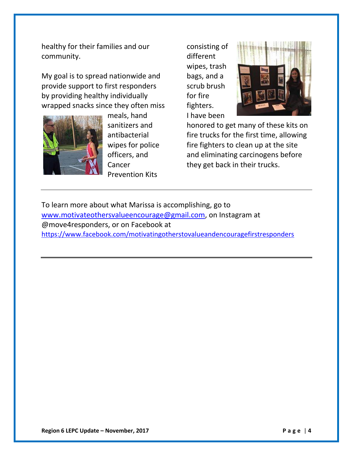healthy for their families and our community.

My goal is to spread nationwide and provide support to first responders by providing healthy individually wrapped snacks since they often miss



meals, hand sanitizers and antibacterial wipes for police officers, and Cancer Prevention Kits

consisting of different wipes, trash bags, and a scrub brush for fire fighters. I have been



honored to get many of these kits on fire trucks for the first time, allowing fire fighters to clean up at the site and eliminating carcinogens before they get back in their trucks.

To learn more about what Marissa is accomplishing, go to [www.motivateothersvalueencourage@gmail.com,](http://www.motivateothersvalueencourage@gmail.com) on Instagram at @move4responders, or on Facebook at <https://www.facebook.com/motivatingotherstovalueandencouragefirstresponders>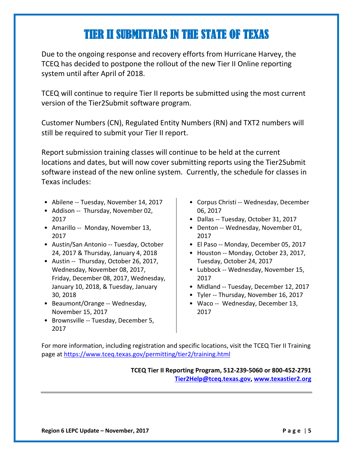## TIER II SUBMITTALS IN THE STATE OF TEXAS

Ξ

Due to the ongoing response and recovery efforts from Hurricane Harvey, the TCEQ has decided to postpone the rollout of the new Tier II Online reporting system until after April of 2018.

TCEQ will continue to require Tier II reports be submitted using the most current version of the Tier2Submit software program.

Customer Numbers (CN), Regulated Entity Numbers (RN) and TXT2 numbers will still be required to submit your Tier II report.

Report submission training classes will continue to be held at the current locations and dates, but will now cover submitting reports using the Tier2Submit software instead of the new online system. Currently, the schedule for classes in Texas includes:

- Abilene -- Tuesday, November 14, 2017
- Addison -- Thursday, November 02, 2017
- Amarillo -- Monday, November 13, 2017
- Austin/San Antonio -- Tuesday, October 24, 2017 & Thursday, January 4, 2018
- Austin -- Thursday, October 26, 2017, Wednesday, November 08, 2017, Friday, December 08, 2017, Wednesday, January 10, 2018, & Tuesday, January 30, 2018
- Beaumont/Orange -- Wednesday, November 15, 2017
- Brownsville -- Tuesday, December 5, 2017
- Corpus Christi -- Wednesday, December 06, 2017
- Dallas -- Tuesday, October 31, 2017
- Denton -- Wednesday, November 01, 2017
- El Paso -- Monday, December 05, 2017
- Houston -- Monday, October 23, 2017, Tuesday, October 24, 2017
- Lubbock -- Wednesday, November 15, 2017
- Midland -- Tuesday, December 12, 2017
- Tyler -- Thursday, November 16, 2017
- Waco -- Wednesday, December 13, 2017

For more information, including registration and specific locations, visit the TCEQ Tier II Training page at<https://www.tceq.texas.gov/permitting/tier2/training.html>

> **TCEQ Tier II Reporting Program, 512-239-5060 or 800-452-2791 [Tier2Help@tceq.texas.gov,](mailto:Tier2Help@tceq.texas.gov) [www.texastier2.org](http://www.texastier2.org/)**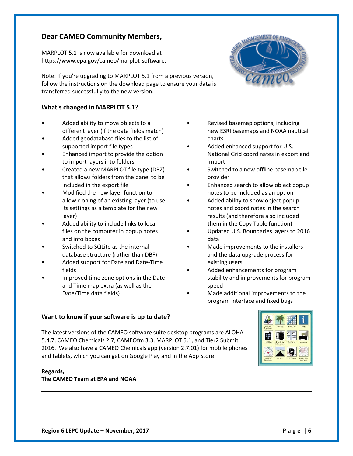#### **Dear CAMEO Community Members,**

MARPLOT 5.1 is now available for download at https://www.epa.gov/cameo/marplot-software.

Note: If you're upgrading to MARPLOT 5.1 from a previous version, follow the instructions on the download page to ensure your data is transferred successfully to the new version.

#### **What's changed in MARPLOT 5.1?**

- Added ability to move objects to a different layer (if the data fields match)
- Added geodatabase files to the list of supported import file types
- Enhanced import to provide the option to import layers into folders
- Created a new MARPLOT file type (DBZ) that allows folders from the panel to be included in the export file
- Modified the new layer function to allow cloning of an existing layer (to use its settings as a template for the new layer)
- Added ability to include links to local files on the computer in popup notes and info boxes
- Switched to SQLite as the internal database structure (rather than DBF)
- Added support for Date and Date-Time fields
- Improved time zone options in the Date and Time map extra (as well as the Date/Time data fields)

#### **Want to know if your software is up to date?**

• Revised basemap options, including new ESRI basemaps and NOAA nautical charts

- Added enhanced support for U.S. National Grid coordinates in export and import
- Switched to a new offline basemap tile provider
- Enhanced search to allow object popup notes to be included as an option
- Added ability to show object popup notes and coordinates in the search results (and therefore also included them in the Copy Table function)
- Updated U.S. Boundaries layers to 2016 data
- Made improvements to the installers and the data upgrade process for existing users
- Added enhancements for program stability and improvements for program speed
- Made additional improvements to the program interface and fixed bugs

The latest versions of the CAMEO software suite desktop programs are ALOHA 5.4.7, CAMEO Chemicals 2.7, CAMEOfm 3.3, MARPLOT 5.1, and Tier2 Submit 2016. We also have a CAMEO Chemicals app (version 2.7.01) for mobile phones and tablets, which you can get on Google Play and in the App Store.

#### **Regards, The CAMEO Team at EPA and NOAA**



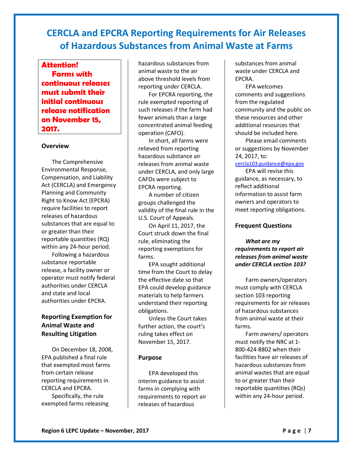#### **CERCLA and EPCRA Reporting Requirements for Air Releases of Hazardous Substances from Animal Waste at Farms**

**Attention! Farms with continuous releases must submit their initial continuous release notification on November 15, 2017.**

#### **Overview**

The Comprehensive Environmental Response, Compensation, and Liability Act (CERCLA) and Emergency Planning and Community Right to Know Act (EPCRA) require facilities to report releases of hazardous substances that are equal to or greater than their reportable quantities (RQ) within any 24-hour period. Following a hazardous substance reportable release, a facility owner or

operator must notify federal authorities under CERCLA and state and local authorities under EPCRA.

#### **Reporting Exemption for Animal Waste and Resulting Litigation**

On December 18, 2008, EPA published a final rule that exempted most farms from certain release reporting requirements in CERCLA and EPCRA. Specifically, the rule exempted farms releasing

hazardous substances from animal waste to the air above threshold levels from reporting under CERCLA.

For EPCRA reporting, the rule exempted reporting of such releases if the farm had fewer animals than a large concentrated animal feeding operation (CAFO).

In short, all farms were relieved from reporting hazardous substance air releases from animal waste under CERCLA, and only large CAFOs were subject to EPCRA reporting.

A number of citizen groups challenged the validity of the final rule in the U.S. Court of Appeals.

On April 11, 2017, the Court struck down the final rule, eliminating the reporting exemptions for farms.

EPA sought additional time from the Court to delay the effective date so that EPA could develop guidance materials to help farmers understand their reporting obligations.

Unless the Court takes further action, the court's ruling takes effect on November 15, 2017.

#### **Purpose**

EPA developed this interim guidance to assist farms in complying with requirements to report air releases of hazardous

substances from animal waste under CERCLA and EPCRA.

EPA welcomes comments and suggestions from the regulated community and the public on these resources and other additional resources that should be included here.

Please email comments or suggestions by November 24, 2017, to:

#### [cercla103.guidance@epa.gov](mailto:cercla103.guidance@epa.gov)

EPA will revise this guidance, as necessary, to reflect additional information to assist farm owners and operators to meet reporting obligations.

#### **Frequent Questions**

*What are my requirements to report air releases from animal waste under CERCLA section 103?*

Farm owners/operators must comply with CERCLA section 103 reporting requirements for air releases of hazardous substances from animal waste at their farms.

Farm owners/ operators must notify the NRC at 1- 800-424-8802 when their facilities have air releases of hazardous substances from animal wastes that are equal to or greater than their reportable quantities (RQs) within any 24-hour period.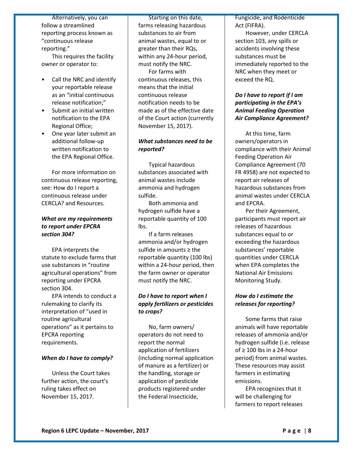Alternatively, you can follow a streamlined reporting process known as "continuous release reporting."

This requires the facility owner or operator to:

- Call the NRC and identify your reportable release as an "initial continuous release notification;"
- Submit an initial written notification to the EPA Regional Office;
- One year later submit an additional follow-up written notification to the EPA Regional Office.

For more information on continuous release reporting, see: How do I report a continuous release under CERCLA? and Resources.

#### *What are my requirements to report under EPCRA section 304?*

EPA interprets the statute to exclude farms that use substances in "routine agricultural operations" from reporting under EPCRA section 304.

EPA intends to conduct a rulemaking to clarify its interpretation of "used in routine agricultural operations" as it pertains to EPCRA reporting requirements.

#### *When do I have to comply?*

Unless the Court takes further action, the court's ruling takes effect on November 15, 2017.

Starting on this date, farms releasing hazardous substances to air from animal wastes, equal to or greater than their RQs, within any 24-hour period, must notify the NRC. For farms with continuous releases, this means that the initial continuous release notification needs to be made as of the effective date of the Court action (currently November 15, 2017).

#### *What substances need to be reported?*

Typical hazardous substances associated with animal wastes include ammonia and hydrogen sulfide.

Both ammonia and hydrogen sulfide have a reportable quantity of 100 lbs.

If a farm releases ammonia and/or hydrogen sulfide in amounts ≥ the reportable quantity (100 lbs) within a 24-hour period, then the farm owner or operator must notify the NRC.

#### *Do I have to report when I apply fertilizers or pesticides to crops?*

No, farm owners/ operators do not need to report the normal application of fertilizers (including normal application of manure as a fertilizer) or the handling, storage or application of pesticide products registered under the Federal Insecticide,

Fungicide, and Rodenticide Act (FIFRA).

However, under CERCLA section 103, any spills or accidents involving these substances must be immediately reported to the NRC when they meet or exceed the RQ.

#### *Do I have to report if I am participating in the EPA's Animal Feeding Operation Air Compliance Agreement?*

At this time, farm owners/operators in compliance with their Animal Feeding Operation Air Compliance Agreement (70 FR 4958) are not expected to report air releases of hazardous substances from animal wastes under CERCLA and EPCRA.

Per their Agreement, participants must report air releases of hazardous substances equal to or exceeding the hazardous substances' reportable quantities under CERCLA when EPA completes the National Air Emissions Monitoring Study.

#### *How do I estimate the releases for reporting?*

Some farms that raise animals will have reportable releases of ammonia and/or hydrogen sulfide (i.e. release of ≥ 100 lbs in a 24-hour period) from animal wastes. These resources may assist farmers in estimating emissions.

EPA recognizes that it will be challenging for farmers to report releases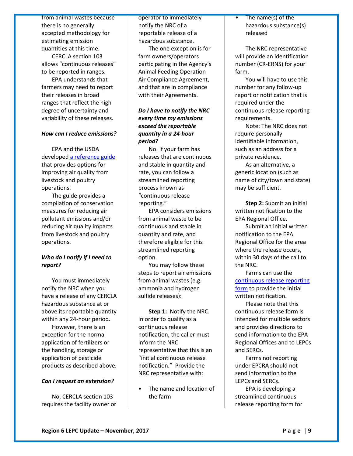from animal wastes because there is no generally accepted methodology for estimating emission quantities at this time.

CERCLA section 103 allows "continuous releases" to be reported in ranges.

EPA understands that farmers may need to report their releases in broad ranges that reflect the high degree of uncertainty and variability of these releases.

#### *How can I reduce emissions?*

EPA and the USDA developed [a reference guide](https://www.epa.gov/afos-air/agricultural-air-quality-conservation-measures-reference-guide-poultry-and-livestock) that provides options for improving air quality from livestock and poultry operations.

The guide provides a compilation of conservation measures for reducing air pollutant emissions and/or reducing air quality impacts from livestock and poultry operations.

#### *Who do I notify if I need to report?*

You must immediately notify the NRC when you have a release of any CERCLA hazardous substance at or above its reportable quantity within any 24-hour period.

However, there is an exception for the normal application of fertilizers or the handling, storage or application of pesticide products as described above.

#### *Can I request an extension?*

No, CERCLA section 103 requires the facility owner or

operator to immediately notify the NRC of a reportable release of a hazardous substance.

The one exception is for farm owners/operators participating in the Agency's Animal Feeding Operation Air Compliance Agreement, and that are in compliance with their Agreements.

#### *Do I have to notify the NRC every time my emissions exceed the reportable quantity in a 24-hour period?*

No. If your farm has releases that are continuous and stable in quantity and rate, you can follow a streamlined reporting process known as "continuous release reporting."

EPA considers emissions from animal waste to be continuous and stable in quantity and rate, and therefore eligible for this streamlined reporting option.

You may follow these steps to report air emissions from animal wastes (e.g. ammonia and hydrogen sulfide releases):

**Step 1:** Notify the NRC. In order to qualify as a continuous release notification, the caller must inform the NRC representative that this is an "initial continuous release notification." Provide the NRC representative with:

• The name and location of the farm

• The name(s) of the hazardous substance(s) released

The NRC representative will provide an identification number (CR-ERNS) for your farm.

You will have to use this number for any follow-up report or notification that is required under the continuous release reporting requirements.

Note: The NRC does not require personally identifiable information, such as an address for a private residence.

As an alternative, a generic location (such as name of city/town and state) may be sufficient.

**Step 2:** Submit an initial written notification to the EPA Regional Office.

Submit an initial written notification to the EPA Regional Office for the area where the release occurs, within 30 days of the call to the NRC.

Farms can use the [continuous release reporting](https://www.epa.gov/epcra/appendix-b-reporting-requirements-continuous-releases-hazardous-substances)  [form](https://www.epa.gov/epcra/appendix-b-reporting-requirements-continuous-releases-hazardous-substances) to provide the initial written notification.

Please note that this continuous release form is intended for multiple sectors and provides directions to send information to the EPA Regional Offices and to LEPCs and SERCs.

Farms not reporting under EPCRA should not send information to the LEPCs and SERCs.

EPA is developing a streamlined continuous release reporting form for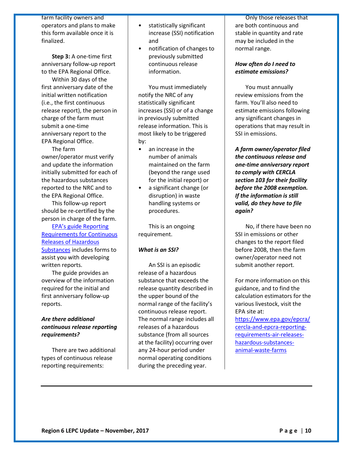farm facility owners and operators and plans to make this form available once it is finalized.

**Step 3:** A one-time first anniversary follow-up report to the EPA Regional Office.

Within 30 days of the first anniversary date of the initial written notification (i.e., the first continuous release report), the person in charge of the farm must submit a one-time anniversary report to the EPA Regional Office.

The farm owner/operator must verify and update the information initially submitted for each of the hazardous substances reported to the NRC and to the EPA Regional Office.

This follow-up report should be re-certified by the person in charge of the farm.

EPA's [guide Reporting](https://www.epa.gov/epcra/reporting-requirements-continuous-releases-hazardous-substances-guide-facilities-compliance)  [Requirements for Continuous](https://www.epa.gov/epcra/reporting-requirements-continuous-releases-hazardous-substances-guide-facilities-compliance)  [Releases of Hazardous](https://www.epa.gov/epcra/reporting-requirements-continuous-releases-hazardous-substances-guide-facilities-compliance)  [Substances](https://www.epa.gov/epcra/reporting-requirements-continuous-releases-hazardous-substances-guide-facilities-compliance) includes forms to assist you with developing written reports.

The guide provides an overview of the information required for the initial and first anniversary follow-up reports.

#### *Are there additional continuous release reporting requirements?*

There are two additional types of continuous release reporting requirements:

- statistically significant increase (SSI) notification and
- notification of changes to previously submitted continuous release information.

You must immediately notify the NRC of any statistically significant increases (SSI) or of a change in previously submitted release information. This is most likely to be triggered by:

- an increase in the number of animals maintained on the farm (beyond the range used for the initial report) or
- a significant change (or disruption) in waste handling systems or procedures.

This is an ongoing requirement.

#### *What is an SSI?*

An SSI is an episodic release of a hazardous substance that exceeds the release quantity described in the upper bound of the normal range of the facility's continuous release report. The normal range includes all releases of a hazardous substance (from all sources at the facility) occurring over any 24-hour period under normal operating conditions during the preceding year.

Only those releases that are both continuous and stable in quantity and rate may be included in the normal range.

#### *How often do I need to estimate emissions?*

You must annually review emissions from the farm. You'll also need to estimate emissions following any significant changes in operations that may result in SSI in emissions.

*A farm owner/operator filed the continuous release and one-time anniversary report to comply with CERCLA section 103 for their facility before the 2008 exemption. If the information is still valid, do they have to file again?*

No, if there have been no SSI in emissions or other changes to the report filed before 2008, then the farm owner/operator need not submit another report.

For more information on this guidance, and to find the calculation estimators for the various livestock, visit the EPA site at:

[https://www.epa.gov/epcra/](https://www.epa.gov/epcra/cercla-and-epcra-reporting-requirements-air-releases-hazardous-substances-animal-waste-farms) [cercla-and-epcra-reporting](https://www.epa.gov/epcra/cercla-and-epcra-reporting-requirements-air-releases-hazardous-substances-animal-waste-farms)[requirements-air-releases](https://www.epa.gov/epcra/cercla-and-epcra-reporting-requirements-air-releases-hazardous-substances-animal-waste-farms)[hazardous-substances](https://www.epa.gov/epcra/cercla-and-epcra-reporting-requirements-air-releases-hazardous-substances-animal-waste-farms)[animal-waste-farms](https://www.epa.gov/epcra/cercla-and-epcra-reporting-requirements-air-releases-hazardous-substances-animal-waste-farms)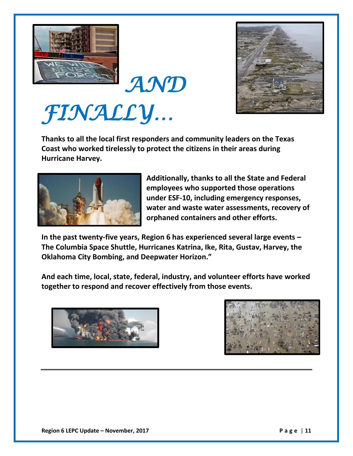



*FINALLY…* 

**Thanks to all the local first responders and community leaders on the Texas Coast who worked tirelessly to protect the citizens in their areas during Hurricane Harvey.**



**Additionally, thanks to all the State and Federal employees who supported those operations under ESF-10, including emergency responses, water and waste water assessments, recovery of orphaned containers and other efforts.**

**In the past twenty-five years, Region 6 has experienced several large events – The Columbia Space Shuttle, Hurricanes Katrina, Ike, Rita, Gustav, Harvey, the Oklahoma City Bombing, and Deepwater Horizon."** 

**And each time, local, state, federal, industry, and volunteer efforts have worked together to respond and recover effectively from those events.**